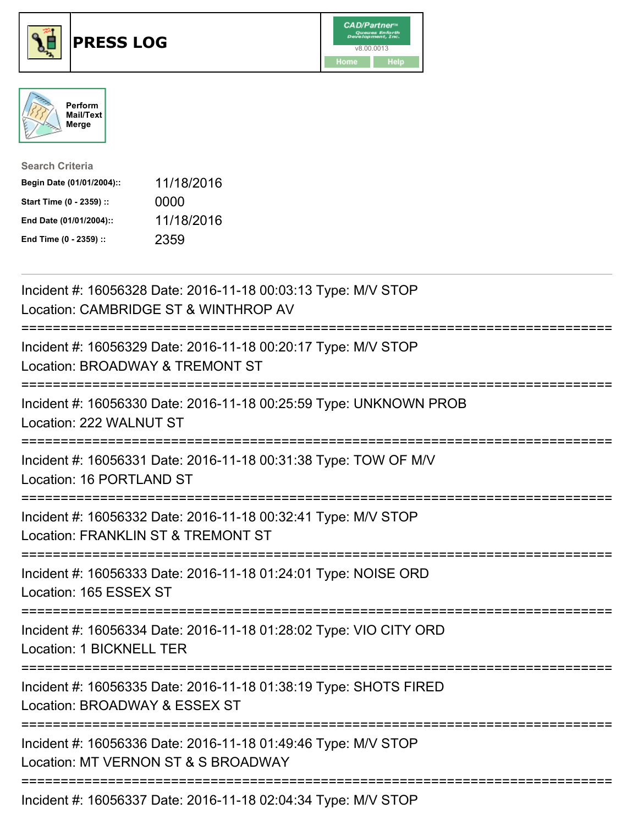





| <b>Search Criteria</b>    |            |
|---------------------------|------------|
| Begin Date (01/01/2004):: | 11/18/2016 |
| Start Time (0 - 2359) ::  | 0000       |
| End Date (01/01/2004)::   | 11/18/2016 |
| End Time (0 - 2359) ::    | 2359       |

| Incident #: 16056328 Date: 2016-11-18 00:03:13 Type: M/V STOP<br>Location: CAMBRIDGE ST & WINTHROP AV                             |
|-----------------------------------------------------------------------------------------------------------------------------------|
| Incident #: 16056329 Date: 2016-11-18 00:20:17 Type: M/V STOP<br>Location: BROADWAY & TREMONT ST                                  |
| Incident #: 16056330 Date: 2016-11-18 00:25:59 Type: UNKNOWN PROB<br>Location: 222 WALNUT ST                                      |
| Incident #: 16056331 Date: 2016-11-18 00:31:38 Type: TOW OF M/V<br>Location: 16 PORTLAND ST                                       |
| Incident #: 16056332 Date: 2016-11-18 00:32:41 Type: M/V STOP<br>Location: FRANKLIN ST & TREMONT ST<br>======================     |
| Incident #: 16056333 Date: 2016-11-18 01:24:01 Type: NOISE ORD<br>Location: 165 ESSEX ST                                          |
| Incident #: 16056334 Date: 2016-11-18 01:28:02 Type: VIO CITY ORD<br><b>Location: 1 BICKNELL TER</b>                              |
| ---------------------<br>Incident #: 16056335 Date: 2016-11-18 01:38:19 Type: SHOTS FIRED<br>Location: BROADWAY & ESSEX ST        |
| :========================<br>Incident #: 16056336 Date: 2016-11-18 01:49:46 Type: M/V STOP<br>Location: MT VERNON ST & S BROADWAY |
| Incident #: 16056337 Date: 2016-11-18 02:04:34 Type: M/V STOP                                                                     |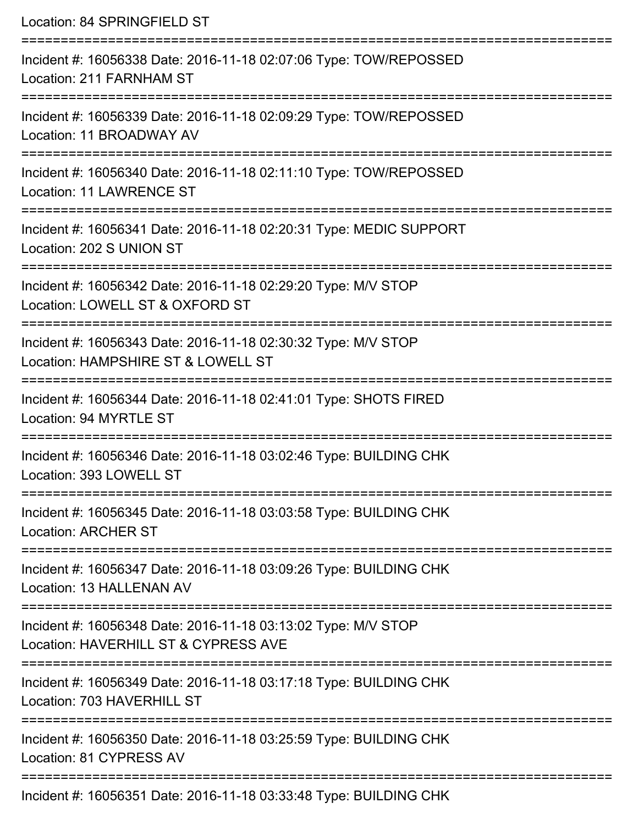| Location: 84 SPRINGFIELD ST                                                                                                               |
|-------------------------------------------------------------------------------------------------------------------------------------------|
| Incident #: 16056338 Date: 2016-11-18 02:07:06 Type: TOW/REPOSSED<br>Location: 211 FARNHAM ST<br>------------------                       |
| Incident #: 16056339 Date: 2016-11-18 02:09:29 Type: TOW/REPOSSED<br>Location: 11 BROADWAY AV                                             |
| Incident #: 16056340 Date: 2016-11-18 02:11:10 Type: TOW/REPOSSED<br><b>Location: 11 LAWRENCE ST</b>                                      |
| Incident #: 16056341 Date: 2016-11-18 02:20:31 Type: MEDIC SUPPORT<br>Location: 202 S UNION ST                                            |
| Incident #: 16056342 Date: 2016-11-18 02:29:20 Type: M/V STOP<br>Location: LOWELL ST & OXFORD ST<br>.------------------------------------ |
| Incident #: 16056343 Date: 2016-11-18 02:30:32 Type: M/V STOP<br>Location: HAMPSHIRE ST & LOWELL ST                                       |
| Incident #: 16056344 Date: 2016-11-18 02:41:01 Type: SHOTS FIRED<br>Location: 94 MYRTLE ST                                                |
| Incident #: 16056346 Date: 2016-11-18 03:02:46 Type: BUILDING CHK<br>Location: 393 LOWELL ST                                              |
| Incident #: 16056345 Date: 2016-11-18 03:03:58 Type: BUILDING CHK<br><b>Location: ARCHER ST</b>                                           |
| Incident #: 16056347 Date: 2016-11-18 03:09:26 Type: BUILDING CHK<br>Location: 13 HALLENAN AV                                             |
| Incident #: 16056348 Date: 2016-11-18 03:13:02 Type: M/V STOP<br>Location: HAVERHILL ST & CYPRESS AVE                                     |
| Incident #: 16056349 Date: 2016-11-18 03:17:18 Type: BUILDING CHK<br>Location: 703 HAVERHILL ST                                           |
| Incident #: 16056350 Date: 2016-11-18 03:25:59 Type: BUILDING CHK<br>Location: 81 CYPRESS AV                                              |
| Incident #: 16056351 Date: 2016-11-18 03:33:48 Type: BUILDING CHK                                                                         |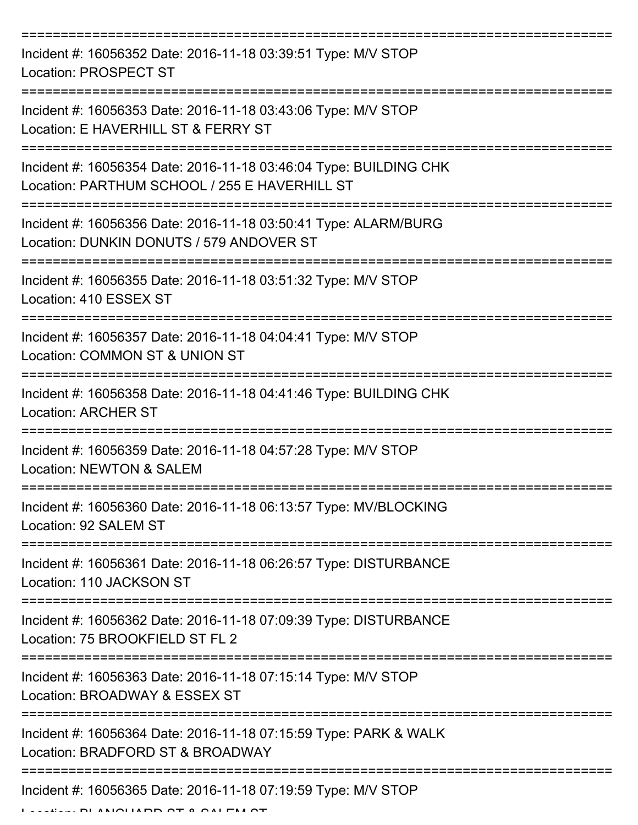| Incident #: 16056352 Date: 2016-11-18 03:39:51 Type: M/V STOP<br><b>Location: PROSPECT ST</b>                      |
|--------------------------------------------------------------------------------------------------------------------|
| Incident #: 16056353 Date: 2016-11-18 03:43:06 Type: M/V STOP<br>Location: E HAVERHILL ST & FERRY ST               |
| Incident #: 16056354 Date: 2016-11-18 03:46:04 Type: BUILDING CHK<br>Location: PARTHUM SCHOOL / 255 E HAVERHILL ST |
| Incident #: 16056356 Date: 2016-11-18 03:50:41 Type: ALARM/BURG<br>Location: DUNKIN DONUTS / 579 ANDOVER ST        |
| Incident #: 16056355 Date: 2016-11-18 03:51:32 Type: M/V STOP<br>Location: 410 ESSEX ST                            |
| Incident #: 16056357 Date: 2016-11-18 04:04:41 Type: M/V STOP<br>Location: COMMON ST & UNION ST                    |
| Incident #: 16056358 Date: 2016-11-18 04:41:46 Type: BUILDING CHK<br><b>Location: ARCHER ST</b>                    |
| Incident #: 16056359 Date: 2016-11-18 04:57:28 Type: M/V STOP<br>Location: NEWTON & SALEM                          |
| Incident #: 16056360 Date: 2016-11-18 06:13:57 Type: MV/BLOCKING<br>Location: 92 SALEM ST                          |
| Incident #: 16056361 Date: 2016-11-18 06:26:57 Type: DISTURBANCE<br>Location: 110 JACKSON ST                       |
| Incident #: 16056362 Date: 2016-11-18 07:09:39 Type: DISTURBANCE<br>Location: 75 BROOKFIELD ST FL 2                |
| Incident #: 16056363 Date: 2016-11-18 07:15:14 Type: M/V STOP<br>Location: BROADWAY & ESSEX ST                     |
| Incident #: 16056364 Date: 2016-11-18 07:15:59 Type: PARK & WALK<br>Location: BRADFORD ST & BROADWAY               |
| Incident #: 16056365 Date: 2016-11-18 07:19:59 Type: M/V STOP                                                      |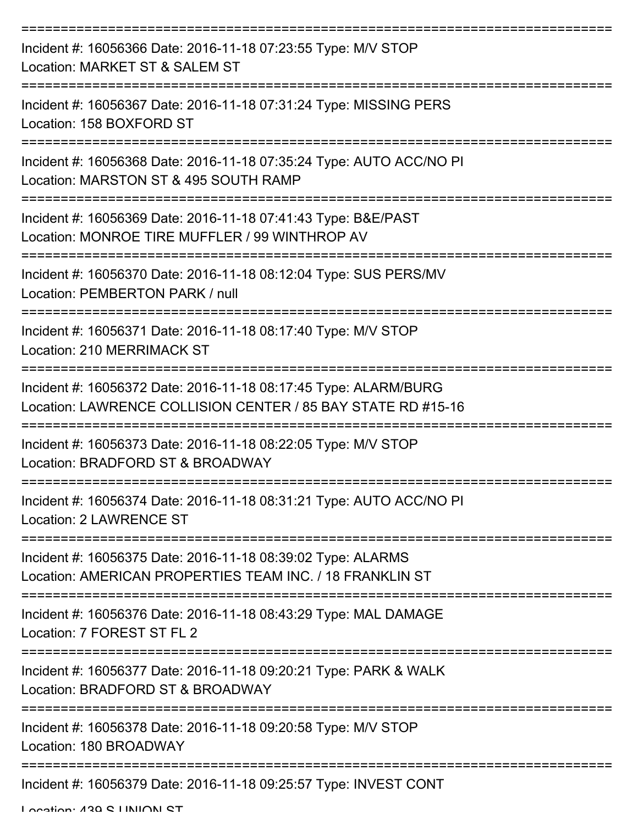| Incident #: 16056366 Date: 2016-11-18 07:23:55 Type: M/V STOP<br>Location: MARKET ST & SALEM ST                                                  |
|--------------------------------------------------------------------------------------------------------------------------------------------------|
| Incident #: 16056367 Date: 2016-11-18 07:31:24 Type: MISSING PERS<br>Location: 158 BOXFORD ST                                                    |
| Incident #: 16056368 Date: 2016-11-18 07:35:24 Type: AUTO ACC/NO PI<br>Location: MARSTON ST & 495 SOUTH RAMP                                     |
| Incident #: 16056369 Date: 2016-11-18 07:41:43 Type: B&E/PAST<br>Location: MONROE TIRE MUFFLER / 99 WINTHROP AV                                  |
| Incident #: 16056370 Date: 2016-11-18 08:12:04 Type: SUS PERS/MV<br>Location: PEMBERTON PARK / null                                              |
| Incident #: 16056371 Date: 2016-11-18 08:17:40 Type: M/V STOP<br>Location: 210 MERRIMACK ST                                                      |
| Incident #: 16056372 Date: 2016-11-18 08:17:45 Type: ALARM/BURG<br>Location: LAWRENCE COLLISION CENTER / 85 BAY STATE RD #15-16                  |
| Incident #: 16056373 Date: 2016-11-18 08:22:05 Type: M/V STOP<br>Location: BRADFORD ST & BROADWAY                                                |
| Incident #: 16056374 Date: 2016-11-18 08:31:21 Type: AUTO ACC/NO PI<br><b>Location: 2 LAWRENCE ST</b>                                            |
| =====================<br>Incident #: 16056375 Date: 2016-11-18 08:39:02 Type: ALARMS<br>Location: AMERICAN PROPERTIES TEAM INC. / 18 FRANKLIN ST |
| Incident #: 16056376 Date: 2016-11-18 08:43:29 Type: MAL DAMAGE<br>Location: 7 FOREST ST FL 2                                                    |
| Incident #: 16056377 Date: 2016-11-18 09:20:21 Type: PARK & WALK<br>Location: BRADFORD ST & BROADWAY                                             |
| Incident #: 16056378 Date: 2016-11-18 09:20:58 Type: M/V STOP<br>Location: 180 BROADWAY                                                          |
| Incident #: 16056379 Date: 2016-11-18 09:25:57 Type: INVEST CONT                                                                                 |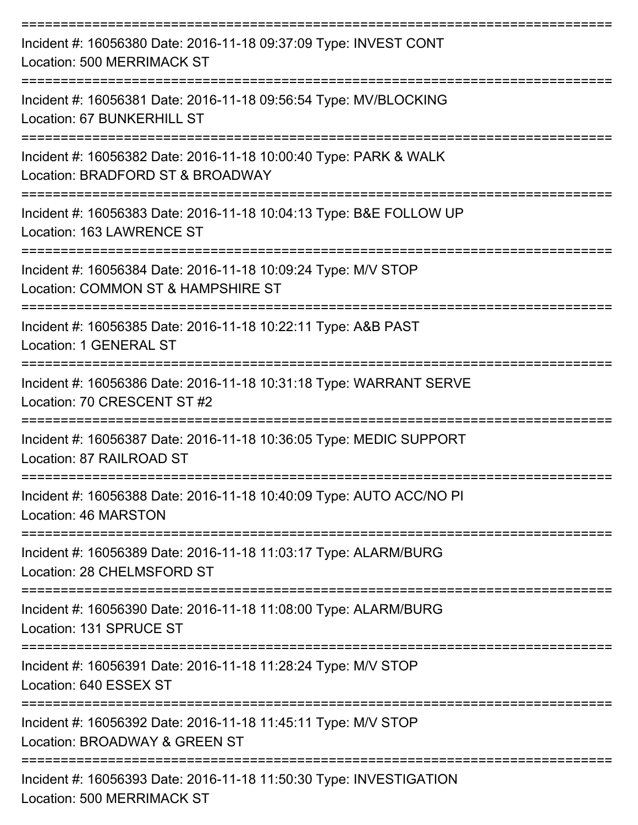| Incident #: 16056380 Date: 2016-11-18 09:37:09 Type: INVEST CONT<br><b>Location: 500 MERRIMACK ST</b>             |
|-------------------------------------------------------------------------------------------------------------------|
| Incident #: 16056381 Date: 2016-11-18 09:56:54 Type: MV/BLOCKING<br>Location: 67 BUNKERHILL ST                    |
| Incident #: 16056382 Date: 2016-11-18 10:00:40 Type: PARK & WALK<br>Location: BRADFORD ST & BROADWAY              |
| Incident #: 16056383 Date: 2016-11-18 10:04:13 Type: B&E FOLLOW UP<br>Location: 163 LAWRENCE ST                   |
| Incident #: 16056384 Date: 2016-11-18 10:09:24 Type: M/V STOP<br>Location: COMMON ST & HAMPSHIRE ST               |
| Incident #: 16056385 Date: 2016-11-18 10:22:11 Type: A&B PAST<br>Location: 1 GENERAL ST                           |
| Incident #: 16056386 Date: 2016-11-18 10:31:18 Type: WARRANT SERVE<br>Location: 70 CRESCENT ST #2                 |
| Incident #: 16056387 Date: 2016-11-18 10:36:05 Type: MEDIC SUPPORT<br>Location: 87 RAILROAD ST                    |
| Incident #: 16056388 Date: 2016-11-18 10:40:09 Type: AUTO ACC/NO PI<br>Location: 46 MARSTON                       |
| ----------------<br>Incident #: 16056389 Date: 2016-11-18 11:03:17 Type: ALARM/BURG<br>Location: 28 CHELMSFORD ST |
| Incident #: 16056390 Date: 2016-11-18 11:08:00 Type: ALARM/BURG<br>Location: 131 SPRUCE ST                        |
| Incident #: 16056391 Date: 2016-11-18 11:28:24 Type: M/V STOP<br>Location: 640 ESSEX ST                           |
| Incident #: 16056392 Date: 2016-11-18 11:45:11 Type: M/V STOP<br>Location: BROADWAY & GREEN ST                    |
| Incident #: 16056393 Date: 2016-11-18 11:50:30 Type: INVESTIGATION<br><b>Location: 500 MERRIMACK ST</b>           |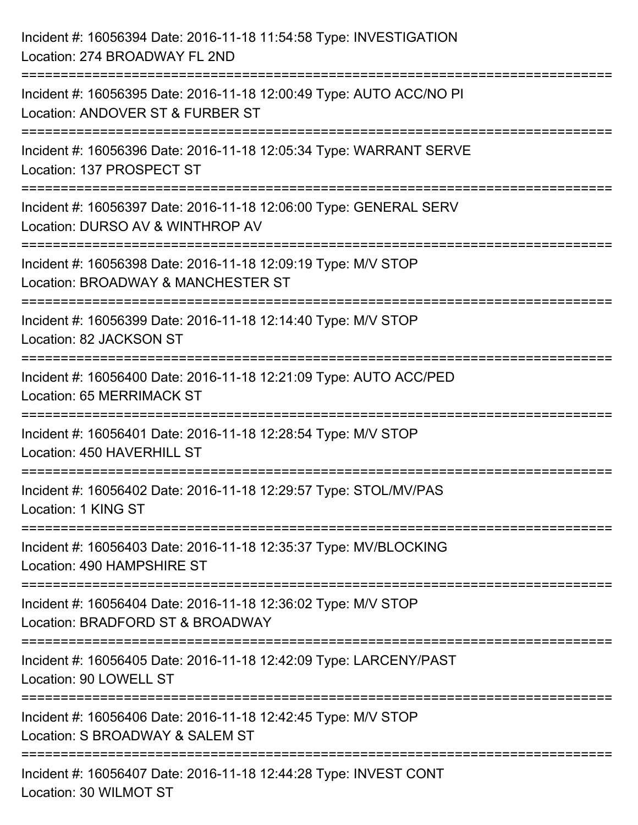| Incident #: 16056394 Date: 2016-11-18 11:54:58 Type: INVESTIGATION<br>Location: 274 BROADWAY FL 2ND                             |
|---------------------------------------------------------------------------------------------------------------------------------|
| Incident #: 16056395 Date: 2016-11-18 12:00:49 Type: AUTO ACC/NO PI<br>Location: ANDOVER ST & FURBER ST                         |
| Incident #: 16056396 Date: 2016-11-18 12:05:34 Type: WARRANT SERVE<br>Location: 137 PROSPECT ST<br>======================       |
| Incident #: 16056397 Date: 2016-11-18 12:06:00 Type: GENERAL SERV<br>Location: DURSO AV & WINTHROP AV                           |
| Incident #: 16056398 Date: 2016-11-18 12:09:19 Type: M/V STOP<br>Location: BROADWAY & MANCHESTER ST<br>======================== |
| Incident #: 16056399 Date: 2016-11-18 12:14:40 Type: M/V STOP<br>Location: 82 JACKSON ST                                        |
| Incident #: 16056400 Date: 2016-11-18 12:21:09 Type: AUTO ACC/PED<br>Location: 65 MERRIMACK ST                                  |
| Incident #: 16056401 Date: 2016-11-18 12:28:54 Type: M/V STOP<br>Location: 450 HAVERHILL ST                                     |
| Incident #: 16056402 Date: 2016-11-18 12:29:57 Type: STOL/MV/PAS<br>Location: 1 KING ST                                         |
| Incident #: 16056403 Date: 2016-11-18 12:35:37 Type: MV/BLOCKING<br>Location: 490 HAMPSHIRE ST                                  |
| Incident #: 16056404 Date: 2016-11-18 12:36:02 Type: M/V STOP<br>Location: BRADFORD ST & BROADWAY                               |
| Incident #: 16056405 Date: 2016-11-18 12:42:09 Type: LARCENY/PAST<br>Location: 90 LOWELL ST                                     |
| Incident #: 16056406 Date: 2016-11-18 12:42:45 Type: M/V STOP<br>Location: S BROADWAY & SALEM ST                                |
| Incident #: 16056407 Date: 2016-11-18 12:44:28 Type: INVEST CONT<br>Location: 30 WILMOT ST                                      |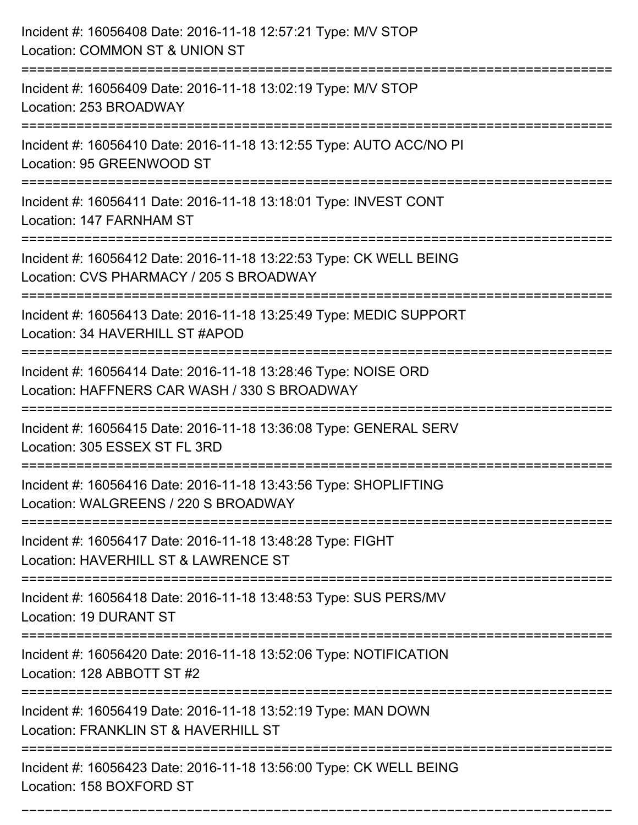| Incident #: 16056408 Date: 2016-11-18 12:57:21 Type: M/V STOP<br>Location: COMMON ST & UNION ST                                              |
|----------------------------------------------------------------------------------------------------------------------------------------------|
| Incident #: 16056409 Date: 2016-11-18 13:02:19 Type: M/V STOP<br>Location: 253 BROADWAY                                                      |
| Incident #: 16056410 Date: 2016-11-18 13:12:55 Type: AUTO ACC/NO PI<br>Location: 95 GREENWOOD ST                                             |
| Incident #: 16056411 Date: 2016-11-18 13:18:01 Type: INVEST CONT<br>Location: 147 FARNHAM ST                                                 |
| Incident #: 16056412 Date: 2016-11-18 13:22:53 Type: CK WELL BEING<br>Location: CVS PHARMACY / 205 S BROADWAY<br>--------------------------- |
| Incident #: 16056413 Date: 2016-11-18 13:25:49 Type: MEDIC SUPPORT<br>Location: 34 HAVERHILL ST #APOD                                        |
| Incident #: 16056414 Date: 2016-11-18 13:28:46 Type: NOISE ORD<br>Location: HAFFNERS CAR WASH / 330 S BROADWAY                               |
| Incident #: 16056415 Date: 2016-11-18 13:36:08 Type: GENERAL SERV<br>Location: 305 ESSEX ST FL 3RD                                           |
| Incident #: 16056416 Date: 2016-11-18 13:43:56 Type: SHOPLIFTING<br>Location: WALGREENS / 220 S BROADWAY                                     |
| Incident #: 16056417 Date: 2016-11-18 13:48:28 Type: FIGHT<br>Location: HAVERHILL ST & LAWRENCE ST<br>=================================      |
| Incident #: 16056418 Date: 2016-11-18 13:48:53 Type: SUS PERS/MV<br>Location: 19 DURANT ST                                                   |
| Incident #: 16056420 Date: 2016-11-18 13:52:06 Type: NOTIFICATION<br>Location: 128 ABBOTT ST #2                                              |
| Incident #: 16056419 Date: 2016-11-18 13:52:19 Type: MAN DOWN<br>Location: FRANKLIN ST & HAVERHILL ST                                        |
| Incident #: 16056423 Date: 2016-11-18 13:56:00 Type: CK WELL BEING<br>Location: 158 BOXFORD ST                                               |

===========================================================================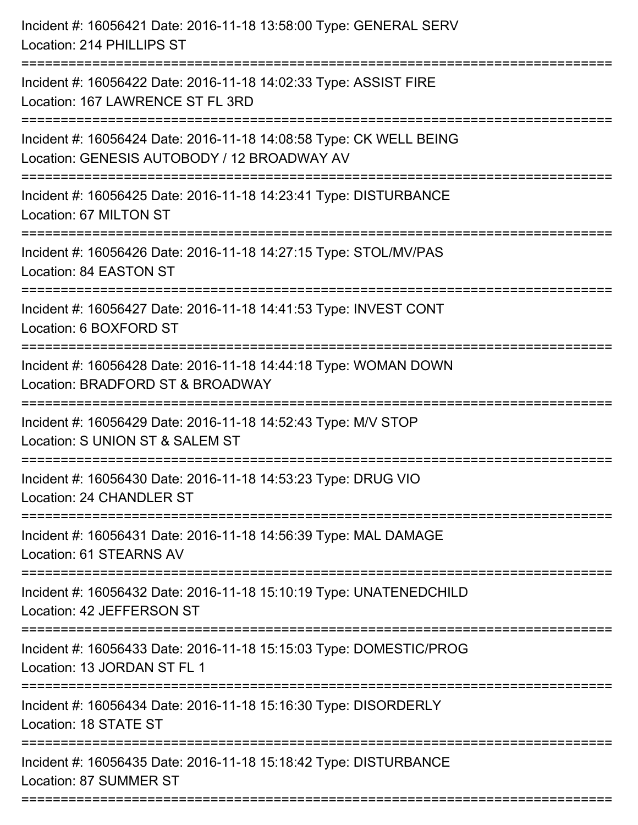| Incident #: 16056421 Date: 2016-11-18 13:58:00 Type: GENERAL SERV<br>Location: 214 PHILLIPS ST                                                     |
|----------------------------------------------------------------------------------------------------------------------------------------------------|
| Incident #: 16056422 Date: 2016-11-18 14:02:33 Type: ASSIST FIRE<br>Location: 167 LAWRENCE ST FL 3RD                                               |
| Incident #: 16056424 Date: 2016-11-18 14:08:58 Type: CK WELL BEING<br>Location: GENESIS AUTOBODY / 12 BROADWAY AV<br>:============================ |
| Incident #: 16056425 Date: 2016-11-18 14:23:41 Type: DISTURBANCE<br>Location: 67 MILTON ST                                                         |
| Incident #: 16056426 Date: 2016-11-18 14:27:15 Type: STOL/MV/PAS<br>Location: 84 EASTON ST                                                         |
| Incident #: 16056427 Date: 2016-11-18 14:41:53 Type: INVEST CONT<br>Location: 6 BOXFORD ST                                                         |
| Incident #: 16056428 Date: 2016-11-18 14:44:18 Type: WOMAN DOWN<br>Location: BRADFORD ST & BROADWAY<br>:====================                       |
| Incident #: 16056429 Date: 2016-11-18 14:52:43 Type: M/V STOP<br>Location: S UNION ST & SALEM ST                                                   |
| Incident #: 16056430 Date: 2016-11-18 14:53:23 Type: DRUG VIO<br>Location: 24 CHANDLER ST                                                          |
| ================<br>Incident #: 16056431 Date: 2016-11-18 14:56:39 Type: MAL DAMAGE<br>Location: 61 STEARNS AV                                     |
| Incident #: 16056432 Date: 2016-11-18 15:10:19 Type: UNATENEDCHILD<br>Location: 42 JEFFERSON ST                                                    |
| Incident #: 16056433 Date: 2016-11-18 15:15:03 Type: DOMESTIC/PROG<br>Location: 13 JORDAN ST FL 1                                                  |
| Incident #: 16056434 Date: 2016-11-18 15:16:30 Type: DISORDERLY<br>Location: 18 STATE ST                                                           |
| Incident #: 16056435 Date: 2016-11-18 15:18:42 Type: DISTURBANCE<br>Location: 87 SUMMER ST                                                         |
|                                                                                                                                                    |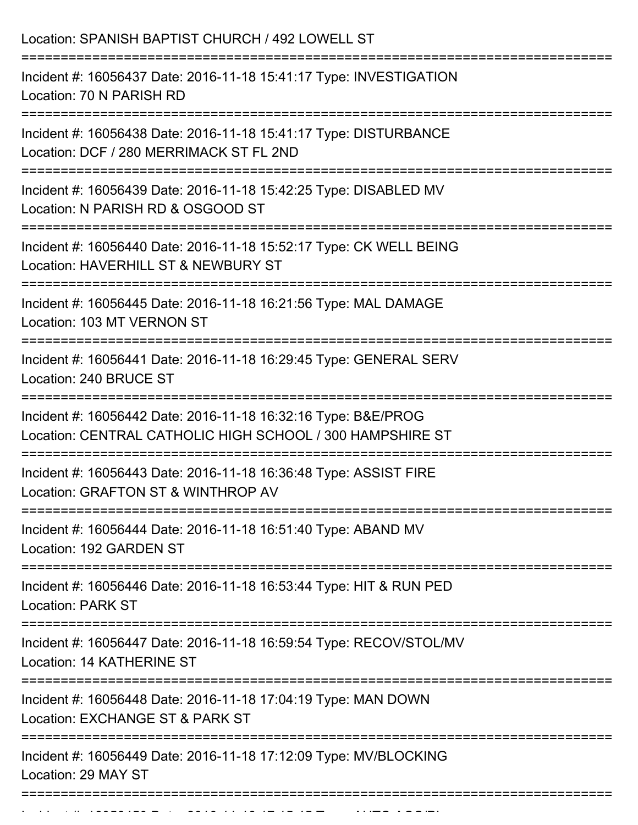| Location: SPANISH BAPTIST CHURCH / 492 LOWELL ST                                                                                                |
|-------------------------------------------------------------------------------------------------------------------------------------------------|
| Incident #: 16056437 Date: 2016-11-18 15:41:17 Type: INVESTIGATION<br>Location: 70 N PARISH RD                                                  |
| Incident #: 16056438 Date: 2016-11-18 15:41:17 Type: DISTURBANCE<br>Location: DCF / 280 MERRIMACK ST FL 2ND                                     |
| Incident #: 16056439 Date: 2016-11-18 15:42:25 Type: DISABLED MV<br>Location: N PARISH RD & OSGOOD ST                                           |
| Incident #: 16056440 Date: 2016-11-18 15:52:17 Type: CK WELL BEING<br>Location: HAVERHILL ST & NEWBURY ST                                       |
| Incident #: 16056445 Date: 2016-11-18 16:21:56 Type: MAL DAMAGE<br>Location: 103 MT VERNON ST                                                   |
| Incident #: 16056441 Date: 2016-11-18 16:29:45 Type: GENERAL SERV<br>Location: 240 BRUCE ST                                                     |
| Incident #: 16056442 Date: 2016-11-18 16:32:16 Type: B&E/PROG<br>Location: CENTRAL CATHOLIC HIGH SCHOOL / 300 HAMPSHIRE ST                      |
| Incident #: 16056443 Date: 2016-11-18 16:36:48 Type: ASSIST FIRE<br>Location: GRAFTON ST & WINTHROP AV<br>===================================== |
| Incident #: 16056444 Date: 2016-11-18 16:51:40 Type: ABAND MV<br>Location: 192 GARDEN ST                                                        |
| Incident #: 16056446 Date: 2016-11-18 16:53:44 Type: HIT & RUN PED<br><b>Location: PARK ST</b>                                                  |
| Incident #: 16056447 Date: 2016-11-18 16:59:54 Type: RECOV/STOL/MV<br>Location: 14 KATHERINE ST                                                 |
| Incident #: 16056448 Date: 2016-11-18 17:04:19 Type: MAN DOWN<br>Location: EXCHANGE ST & PARK ST                                                |
| Incident #: 16056449 Date: 2016-11-18 17:12:09 Type: MV/BLOCKING<br>Location: 29 MAY ST                                                         |
|                                                                                                                                                 |

Incident #: 16056450 Date: 2016 11 18 17:15:45 Type: AUTO ACC/PI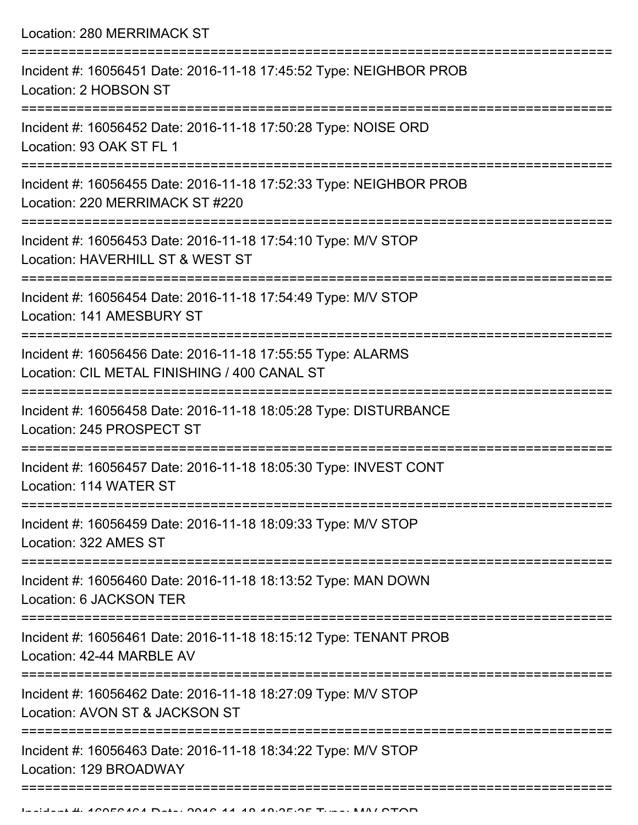Location: 280 MERRIMACK ST =========================================================================== Incident #: 16056451 Date: 2016-11-18 17:45:52 Type: NEIGHBOR PROB Location: 2 HOBSON ST =========================================================================== Incident #: 16056452 Date: 2016-11-18 17:50:28 Type: NOISE ORD Location: 93 OAK ST FL 1 =========================================================================== Incident #: 16056455 Date: 2016-11-18 17:52:33 Type: NEIGHBOR PROB Location: 220 MERRIMACK ST #220 =========================================================================== Incident #: 16056453 Date: 2016-11-18 17:54:10 Type: M/V STOP Location: HAVERHILL ST & WEST ST =========================================================================== Incident #: 16056454 Date: 2016-11-18 17:54:49 Type: M/V STOP Location: 141 AMESBURY ST =========================================================================== Incident #: 16056456 Date: 2016-11-18 17:55:55 Type: ALARMS Location: CIL METAL FINISHING / 400 CANAL ST =========================================================================== Incident #: 16056458 Date: 2016-11-18 18:05:28 Type: DISTURBANCE Location: 245 PROSPECT ST =========================================================================== Incident #: 16056457 Date: 2016-11-18 18:05:30 Type: INVEST CONT Location: 114 WATER ST =========================================================================== Incident #: 16056459 Date: 2016-11-18 18:09:33 Type: M/V STOP Location: 322 AMES ST =========================================================================== Incident #: 16056460 Date: 2016-11-18 18:13:52 Type: MAN DOWN Location: 6 JACKSON TER =========================================================================== Incident #: 16056461 Date: 2016-11-18 18:15:12 Type: TENANT PROB Location: 42-44 MARBLE AV =========================================================================== Incident #: 16056462 Date: 2016-11-18 18:27:09 Type: M/V STOP Location: AVON ST & JACKSON ST =========================================================================== Incident #: 16056463 Date: 2016-11-18 18:34:22 Type: M/V STOP Location: 129 BROADWAY ===========================================================================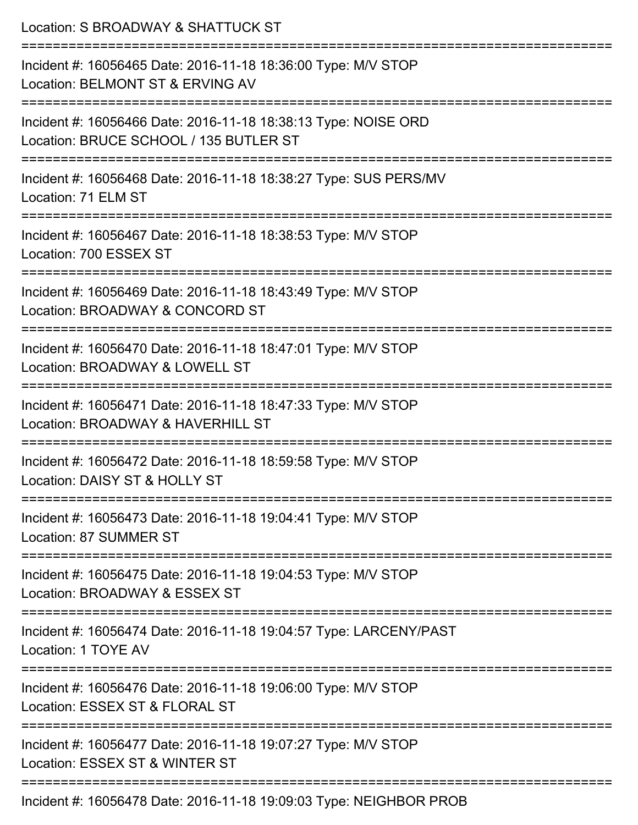| Location: S BROADWAY & SHATTUCK ST                                                                                        |
|---------------------------------------------------------------------------------------------------------------------------|
| Incident #: 16056465 Date: 2016-11-18 18:36:00 Type: M/V STOP<br>Location: BELMONT ST & ERVING AV<br>:=================== |
| Incident #: 16056466 Date: 2016-11-18 18:38:13 Type: NOISE ORD<br>Location: BRUCE SCHOOL / 135 BUTLER ST                  |
| Incident #: 16056468 Date: 2016-11-18 18:38:27 Type: SUS PERS/MV<br>Location: 71 ELM ST                                   |
| Incident #: 16056467 Date: 2016-11-18 18:38:53 Type: M/V STOP<br>Location: 700 ESSEX ST                                   |
| Incident #: 16056469 Date: 2016-11-18 18:43:49 Type: M/V STOP<br>Location: BROADWAY & CONCORD ST                          |
| Incident #: 16056470 Date: 2016-11-18 18:47:01 Type: M/V STOP<br>Location: BROADWAY & LOWELL ST                           |
| Incident #: 16056471 Date: 2016-11-18 18:47:33 Type: M/V STOP<br>Location: BROADWAY & HAVERHILL ST                        |
| Incident #: 16056472 Date: 2016-11-18 18:59:58 Type: M/V STOP<br>Location: DAISY ST & HOLLY ST                            |
| Incident #: 16056473 Date: 2016-11-18 19:04:41 Type: M/V STOP<br>Location: 87 SUMMER ST                                   |
| Incident #: 16056475 Date: 2016-11-18 19:04:53 Type: M/V STOP<br>Location: BROADWAY & ESSEX ST                            |
| Incident #: 16056474 Date: 2016-11-18 19:04:57 Type: LARCENY/PAST<br>Location: 1 TOYE AV                                  |
| Incident #: 16056476 Date: 2016-11-18 19:06:00 Type: M/V STOP<br>Location: ESSEX ST & FLORAL ST                           |
| Incident #: 16056477 Date: 2016-11-18 19:07:27 Type: M/V STOP<br>Location: ESSEX ST & WINTER ST                           |
| Incident #: 16056478 Date: 2016-11-18 19:09:03 Type: NEIGHBOR PROB                                                        |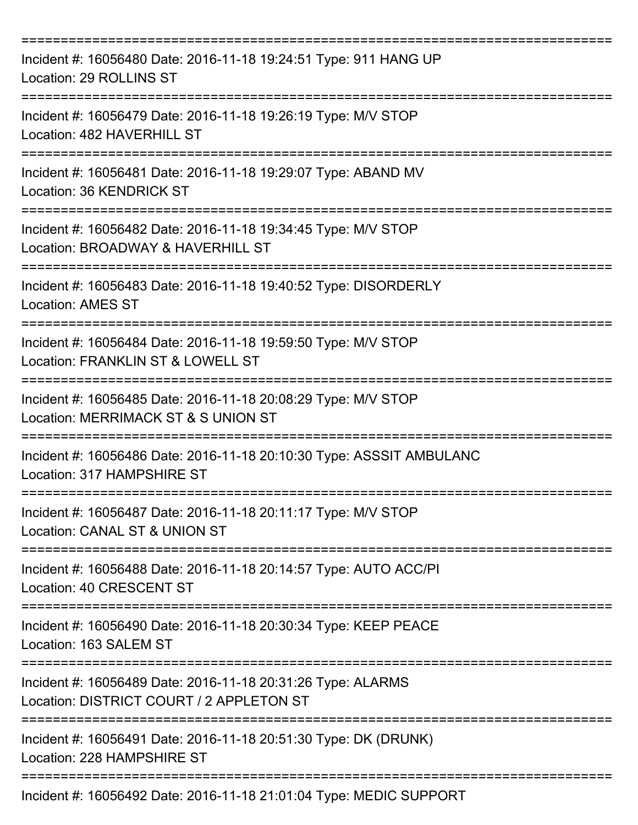| Incident #: 16056480 Date: 2016-11-18 19:24:51 Type: 911 HANG UP<br>Location: 29 ROLLINS ST                                        |
|------------------------------------------------------------------------------------------------------------------------------------|
| Incident #: 16056479 Date: 2016-11-18 19:26:19 Type: M/V STOP<br>Location: 482 HAVERHILL ST                                        |
| Incident #: 16056481 Date: 2016-11-18 19:29:07 Type: ABAND MV<br>Location: 36 KENDRICK ST                                          |
| Incident #: 16056482 Date: 2016-11-18 19:34:45 Type: M/V STOP<br>Location: BROADWAY & HAVERHILL ST                                 |
| Incident #: 16056483 Date: 2016-11-18 19:40:52 Type: DISORDERLY<br><b>Location: AMES ST</b>                                        |
| Incident #: 16056484 Date: 2016-11-18 19:59:50 Type: M/V STOP<br>Location: FRANKLIN ST & LOWELL ST                                 |
| Incident #: 16056485 Date: 2016-11-18 20:08:29 Type: M/V STOP<br>Location: MERRIMACK ST & S UNION ST                               |
| Incident #: 16056486 Date: 2016-11-18 20:10:30 Type: ASSSIT AMBULANC<br>Location: 317 HAMPSHIRF ST                                 |
| Incident #: 16056487 Date: 2016-11-18 20:11:17 Type: M/V STOP<br>Location: CANAL ST & UNION ST                                     |
| Incident #: 16056488 Date: 2016-11-18 20:14:57 Type: AUTO ACC/PI<br>Location: 40 CRESCENT ST                                       |
| Incident #: 16056490 Date: 2016-11-18 20:30:34 Type: KEEP PEACE<br>Location: 163 SALEM ST                                          |
| =======================<br>Incident #: 16056489 Date: 2016-11-18 20:31:26 Type: ALARMS<br>Location: DISTRICT COURT / 2 APPLETON ST |
| Incident #: 16056491 Date: 2016-11-18 20:51:30 Type: DK (DRUNK)<br>Location: 228 HAMPSHIRE ST                                      |
| Incident #: 16056492 Date: 2016-11-18 21:01:04 Type: MEDIC SUPPORT                                                                 |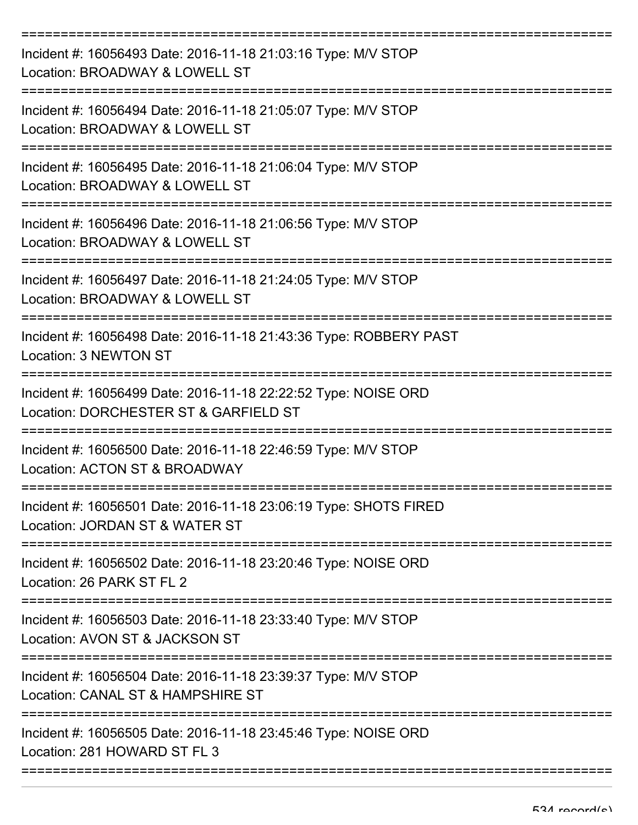| Incident #: 16056493 Date: 2016-11-18 21:03:16 Type: M/V STOP<br>Location: BROADWAY & LOWELL ST         |
|---------------------------------------------------------------------------------------------------------|
| Incident #: 16056494 Date: 2016-11-18 21:05:07 Type: M/V STOP<br>Location: BROADWAY & LOWELL ST         |
| Incident #: 16056495 Date: 2016-11-18 21:06:04 Type: M/V STOP<br>Location: BROADWAY & LOWELL ST         |
| Incident #: 16056496 Date: 2016-11-18 21:06:56 Type: M/V STOP<br>Location: BROADWAY & LOWELL ST         |
| Incident #: 16056497 Date: 2016-11-18 21:24:05 Type: M/V STOP<br>Location: BROADWAY & LOWELL ST         |
| Incident #: 16056498 Date: 2016-11-18 21:43:36 Type: ROBBERY PAST<br>Location: 3 NEWTON ST              |
| Incident #: 16056499 Date: 2016-11-18 22:22:52 Type: NOISE ORD<br>Location: DORCHESTER ST & GARFIELD ST |
| Incident #: 16056500 Date: 2016-11-18 22:46:59 Type: M/V STOP<br>Location: ACTON ST & BROADWAY          |
| Incident #: 16056501 Date: 2016-11-18 23:06:19 Type: SHOTS FIRED<br>Location: JORDAN ST & WATER ST      |
| Incident #: 16056502 Date: 2016-11-18 23:20:46 Type: NOISE ORD<br>Location: 26 PARK ST FL 2             |
| Incident #: 16056503 Date: 2016-11-18 23:33:40 Type: M/V STOP<br>Location: AVON ST & JACKSON ST         |
| Incident #: 16056504 Date: 2016-11-18 23:39:37 Type: M/V STOP<br>Location: CANAL ST & HAMPSHIRE ST      |
| Incident #: 16056505 Date: 2016-11-18 23:45:46 Type: NOISE ORD<br>Location: 281 HOWARD ST FL 3          |
|                                                                                                         |